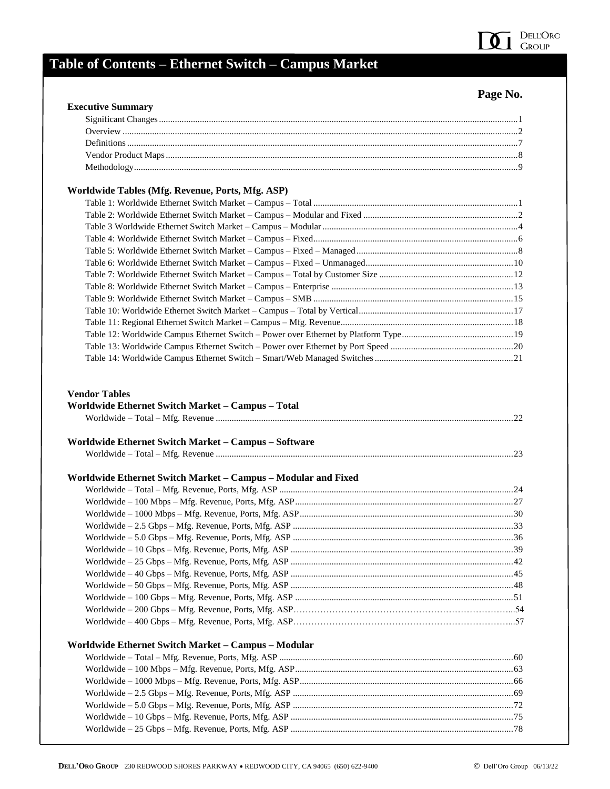

# **Table of Contents – Ethernet Switch – Campus Market**

### **Page No.**

| <b>Executive Summary</b>                                                                                                                                                                                                                                  |  |
|-----------------------------------------------------------------------------------------------------------------------------------------------------------------------------------------------------------------------------------------------------------|--|
|                                                                                                                                                                                                                                                           |  |
|                                                                                                                                                                                                                                                           |  |
|                                                                                                                                                                                                                                                           |  |
|                                                                                                                                                                                                                                                           |  |
|                                                                                                                                                                                                                                                           |  |
| Worldwide Tables (Mfg. Revenue, Ports, Mfg. ASP)                                                                                                                                                                                                          |  |
|                                                                                                                                                                                                                                                           |  |
|                                                                                                                                                                                                                                                           |  |
|                                                                                                                                                                                                                                                           |  |
|                                                                                                                                                                                                                                                           |  |
|                                                                                                                                                                                                                                                           |  |
|                                                                                                                                                                                                                                                           |  |
|                                                                                                                                                                                                                                                           |  |
|                                                                                                                                                                                                                                                           |  |
|                                                                                                                                                                                                                                                           |  |
|                                                                                                                                                                                                                                                           |  |
|                                                                                                                                                                                                                                                           |  |
|                                                                                                                                                                                                                                                           |  |
|                                                                                                                                                                                                                                                           |  |
|                                                                                                                                                                                                                                                           |  |
|                                                                                                                                                                                                                                                           |  |
|                                                                                                                                                                                                                                                           |  |
|                                                                                                                                                                                                                                                           |  |
|                                                                                                                                                                                                                                                           |  |
|                                                                                                                                                                                                                                                           |  |
|                                                                                                                                                                                                                                                           |  |
|                                                                                                                                                                                                                                                           |  |
|                                                                                                                                                                                                                                                           |  |
|                                                                                                                                                                                                                                                           |  |
|                                                                                                                                                                                                                                                           |  |
|                                                                                                                                                                                                                                                           |  |
|                                                                                                                                                                                                                                                           |  |
|                                                                                                                                                                                                                                                           |  |
|                                                                                                                                                                                                                                                           |  |
|                                                                                                                                                                                                                                                           |  |
|                                                                                                                                                                                                                                                           |  |
|                                                                                                                                                                                                                                                           |  |
|                                                                                                                                                                                                                                                           |  |
|                                                                                                                                                                                                                                                           |  |
|                                                                                                                                                                                                                                                           |  |
|                                                                                                                                                                                                                                                           |  |
|                                                                                                                                                                                                                                                           |  |
| <b>Vendor Tables</b><br>Worldwide Ethernet Switch Market - Campus - Total<br>Worldwide Ethernet Switch Market - Campus - Software<br>Worldwide Ethernet Switch Market - Campus - Modular and Fixed<br>Worldwide Ethernet Switch Market - Campus - Modular |  |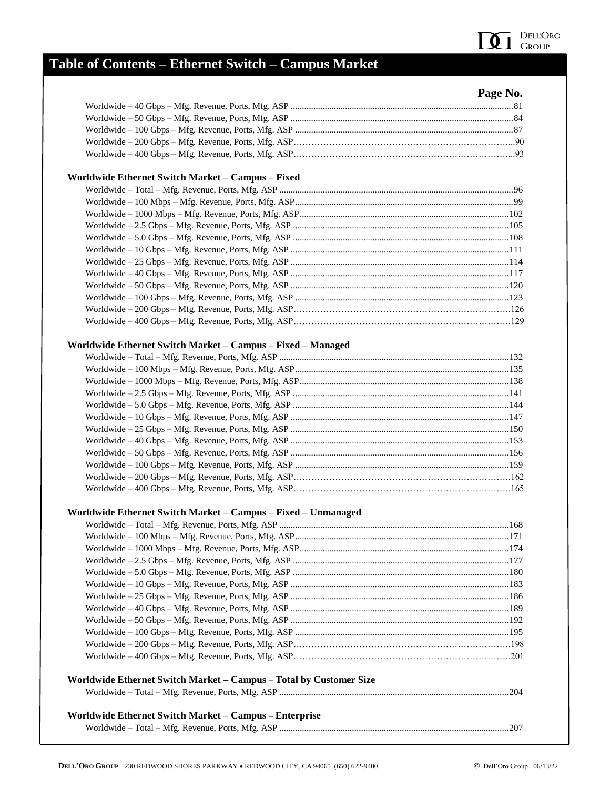

# **Table of Contents – Ethernet Switch – Campus Market**

|  | Page No. |
|--|----------|

| Worldwide Ethernet Switch Market - Campus - Fixed                  |  |
|--------------------------------------------------------------------|--|
|                                                                    |  |
|                                                                    |  |
|                                                                    |  |
|                                                                    |  |
|                                                                    |  |
|                                                                    |  |
|                                                                    |  |
|                                                                    |  |
|                                                                    |  |
|                                                                    |  |
|                                                                    |  |
|                                                                    |  |
| Worldwide Ethernet Switch Market - Campus - Fixed - Managed        |  |
|                                                                    |  |
|                                                                    |  |
|                                                                    |  |
|                                                                    |  |
|                                                                    |  |
|                                                                    |  |
|                                                                    |  |
|                                                                    |  |
|                                                                    |  |
|                                                                    |  |
|                                                                    |  |
|                                                                    |  |
| Worldwide Ethernet Switch Market - Campus - Fixed - Unmanaged      |  |
|                                                                    |  |
|                                                                    |  |
|                                                                    |  |
|                                                                    |  |
|                                                                    |  |
|                                                                    |  |
|                                                                    |  |
|                                                                    |  |
|                                                                    |  |
|                                                                    |  |
|                                                                    |  |
|                                                                    |  |
| Worldwide Ethernet Switch Market - Campus - Total by Customer Size |  |
|                                                                    |  |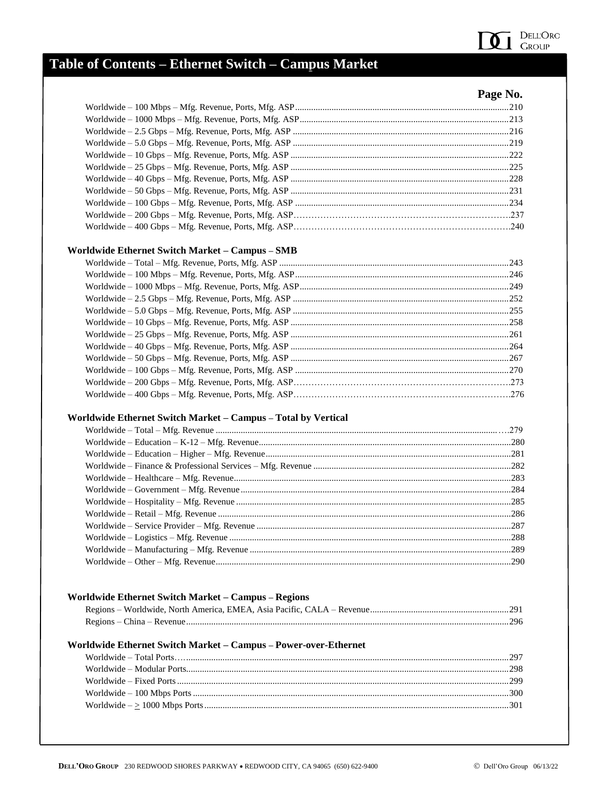

### Table of Contents - Ethernet Switch - Campus Market

| Page No. |
|----------|
|          |
|          |
|          |
|          |
|          |
|          |
|          |
|          |
|          |
|          |
|          |
|          |

#### Worldwide Ethernet Switch Market - Campus - SMB

#### Worldwide Ethernet Switch Market - Campus - Total by Vertical

#### Worldwide Ethernet Switch Market - Campus - Regions

#### Worldwide Ethernet Switch Market - Campus - Power-over-Ethernet